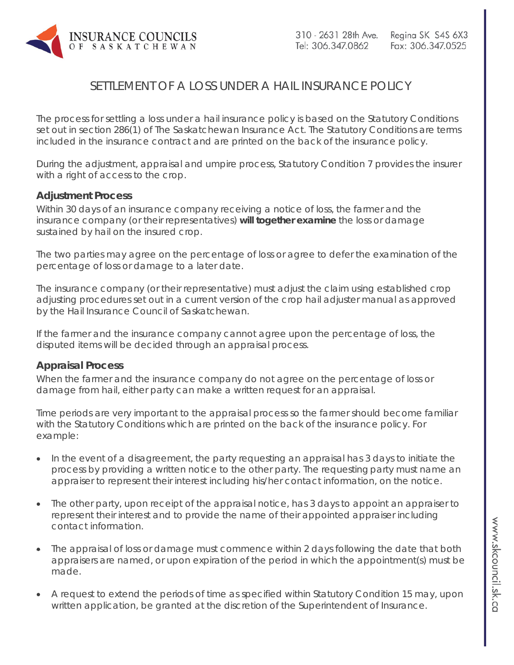

## SETTLEMENT OF A LOSS UNDER A HAIL INSURANCE POLICY

The process for settling a loss under a hail insurance policy is based on the Statutory Conditions set out in section 286(1) of *The Saskatchewan Insurance Act*. The Statutory Conditions are terms included in the insurance contract and are printed on the back of the insurance policy.

During the adjustment, appraisal and umpire process, Statutory Condition 7 provides the insurer with a right of access to the crop.

## **Adjustment Process**

Within 30 days of an insurance company receiving a notice of loss, the farmer and the insurance company (or their representatives) **will together examine** the loss or damage sustained by hail on the insured crop.

The two parties may agree on the percentage of loss or agree to defer the examination of the percentage of loss or damage to a later date.

The insurance company (or their representative) must adjust the claim using established crop adjusting procedures set out in a current version of the crop hail adjuster manual as approved by the Hail Insurance Council of Saskatchewan.

If the farmer and the insurance company cannot agree upon the percentage of loss, the disputed items will be decided through an appraisal process.

## **Appraisal Process**

When the farmer and the insurance company do not agree on the percentage of loss or damage from hail, either party can make a written request for an appraisal.

Time periods are very important to the appraisal process so the farmer should become familiar with the Statutory Conditions which are printed on the back of the insurance policy. For example:

- In the event of a disagreement, the party requesting an appraisal has 3 days to initiate the process by providing a written notice to the other party. The requesting party must name an appraiser to represent their interest including his/her contact information, on the notice.
- The other party, upon receipt of the appraisal notice, has 3 days to appoint an appraiser to represent their interest and to provide the name of their appointed appraiser including contact information.
- The appraisal of loss or damage must commence within 2 days following the date that both appraisers are named, or upon expiration of the period in which the appointment(s) must be made.
- A request to extend the periods of time as specified within Statutory Condition 15 may, upon written application, be granted at the discretion of the Superintendent of Insurance.